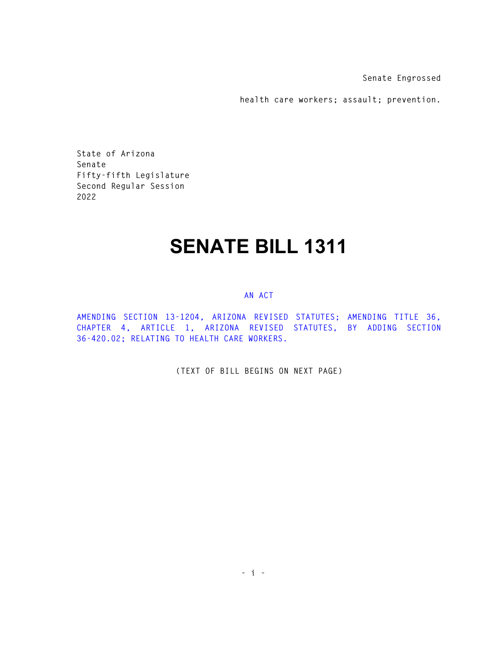**Senate Engrossed** 

**health care workers; assault; prevention.** 

**State of Arizona Senate Fifty-fifth Legislature Second Regular Session 2022** 

## **SENATE BILL 1311**

## **AN ACT**

**AMENDING SECTION 13-1204, ARIZONA REVISED STATUTES; AMENDING TITLE 36, CHAPTER 4, ARTICLE 1, ARIZONA REVISED STATUTES, BY ADDING SECTION 36-420.02; RELATING TO HEALTH CARE WORKERS.** 

**(TEXT OF BILL BEGINS ON NEXT PAGE)**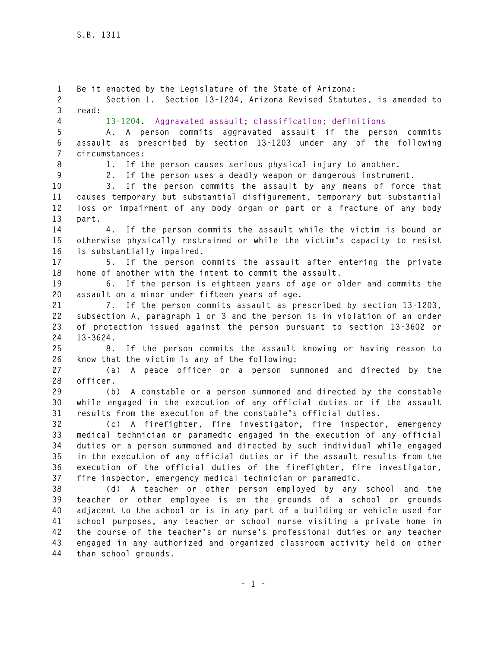**1 Be it enacted by the Legislature of the State of Arizona: 2 Section 1. Section 13-1204, Arizona Revised Statutes, is amended to 3 read: 4 13-1204. Aggravated assault; classification; definitions 5 A. A person commits aggravated assault if the person commits 6 assault as prescribed by section 13-1203 under any of the following 7 circumstances: 8 1. If the person causes serious physical injury to another. 9 2. If the person uses a deadly weapon or dangerous instrument. 10 3. If the person commits the assault by any means of force that 11 causes temporary but substantial disfigurement, temporary but substantial 12 loss or impairment of any body organ or part or a fracture of any body 13 part. 14 4. If the person commits the assault while the victim is bound or 15 otherwise physically restrained or while the victim's capacity to resist 16 is substantially impaired. 17 5. If the person commits the assault after entering the private 18 home of another with the intent to commit the assault. 19 6. If the person is eighteen years of age or older and commits the 20 assault on a minor under fifteen years of age. 21 7. If the person commits assault as prescribed by section 13-1203, 22 subsection A, paragraph 1 or 3 and the person is in violation of an order 23 of protection issued against the person pursuant to section 13-3602 or 24 13-3624. 25 8. If the person commits the assault knowing or having reason to 26 know that the victim is any of the following: 27 (a) A peace officer or a person summoned and directed by the 28 officer. 29 (b) A constable or a person summoned and directed by the constable 30 while engaged in the execution of any official duties or if the assault 31 results from the execution of the constable's official duties. 32 (c) A firefighter, fire investigator, fire inspector, emergency 33 medical technician or paramedic engaged in the execution of any official 34 duties or a person summoned and directed by such individual while engaged 35 in the execution of any official duties or if the assault results from the 36 execution of the official duties of the firefighter, fire investigator, 37 fire inspector, emergency medical technician or paramedic. 38 (d) A teacher or other person employed by any school and the 39 teacher or other employee is on the grounds of a school or grounds 40 adjacent to the school or is in any part of a building or vehicle used for 41 school purposes, any teacher or school nurse visiting a private home in 42 the course of the teacher's or nurse's professional duties or any teacher 43 engaged in any authorized and organized classroom activity held on other 44 than school grounds.**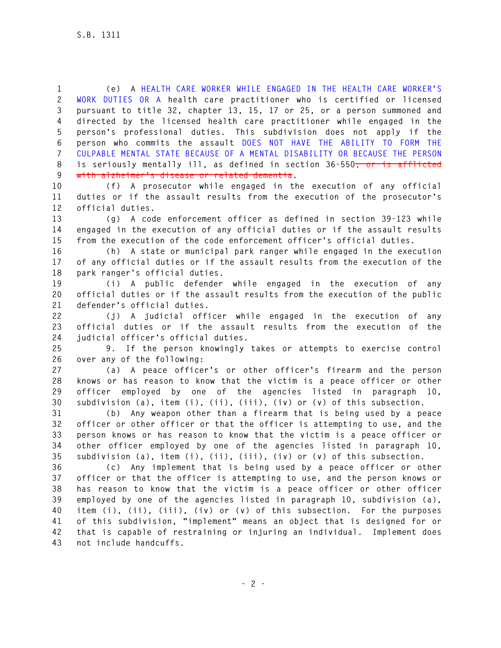**1 (e) A HEALTH CARE WORKER WHILE ENGAGED IN THE HEALTH CARE WORKER'S 2 WORK DUTIES OR A health care practitioner who is certified or licensed 3 pursuant to title 32, chapter 13, 15, 17 or 25, or a person summoned and 4 directed by the licensed health care practitioner while engaged in the 5 person's professional duties. This subdivision does not apply if the 6 person who commits the assault DOES NOT HAVE THE ABILITY TO FORM THE 7 CULPABLE MENTAL STATE BECAUSE OF A MENTAL DISABILITY OR BECAUSE THE PERSON 8 is seriously mentally ill, as defined in section 36-550, or is afflicted 9 with alzheimer's disease or related dementia.** 

**10 (f) A prosecutor while engaged in the execution of any official 11 duties or if the assault results from the execution of the prosecutor's 12 official duties.** 

**13 (g) A code enforcement officer as defined in section 39-123 while 14 engaged in the execution of any official duties or if the assault results 15 from the execution of the code enforcement officer's official duties.** 

**16 (h) A state or municipal park ranger while engaged in the execution 17 of any official duties or if the assault results from the execution of the 18 park ranger's official duties.** 

**19 (i) A public defender while engaged in the execution of any 20 official duties or if the assault results from the execution of the public 21 defender's official duties.** 

**22 (j) A judicial officer while engaged in the execution of any 23 official duties or if the assault results from the execution of the 24 judicial officer's official duties.** 

**25 9. If the person knowingly takes or attempts to exercise control 26 over any of the following:** 

**27 (a) A peace officer's or other officer's firearm and the person 28 knows or has reason to know that the victim is a peace officer or other 29 officer employed by one of the agencies listed in paragraph 10, 30 subdivision (a), item (i), (ii), (iii), (iv) or (v) of this subsection.** 

**31 (b) Any weapon other than a firearm that is being used by a peace 32 officer or other officer or that the officer is attempting to use, and the 33 person knows or has reason to know that the victim is a peace officer or 34 other officer employed by one of the agencies listed in paragraph 10, 35 subdivision (a), item (i), (ii), (iii), (iv) or (v) of this subsection.** 

**36 (c) Any implement that is being used by a peace officer or other 37 officer or that the officer is attempting to use, and the person knows or 38 has reason to know that the victim is a peace officer or other officer 39 employed by one of the agencies listed in paragraph 10, subdivision (a), 40 item (i), (ii), (iii), (iv) or (v) of this subsection. For the purposes 41 of this subdivision, "implement" means an object that is designed for or 42 that is capable of restraining or injuring an individual. Implement does 43 not include handcuffs.**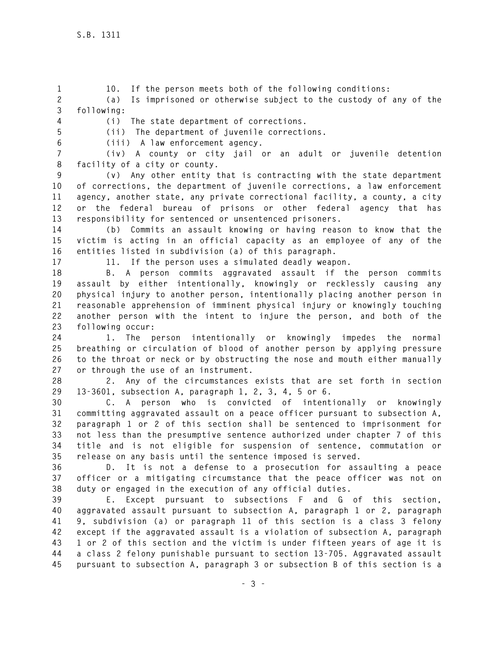**1 10. If the person meets both of the following conditions: 2 (a) Is imprisoned or otherwise subject to the custody of any of the 3 following:** 

**4 (i) The state department of corrections.** 

**5 (ii) The department of juvenile corrections.** 

**6 (iii) A law enforcement agency.** 

**7 (iv) A county or city jail or an adult or juvenile detention 8 facility of a city or county.** 

**9 (v) Any other entity that is contracting with the state department 10 of corrections, the department of juvenile corrections, a law enforcement 11 agency, another state, any private correctional facility, a county, a city 12 or the federal bureau of prisons or other federal agency that has 13 responsibility for sentenced or unsentenced prisoners.** 

**14 (b) Commits an assault knowing or having reason to know that the 15 victim is acting in an official capacity as an employee of any of the 16 entities listed in subdivision (a) of this paragraph.** 

**17 11. If the person uses a simulated deadly weapon.** 

**18 B. A person commits aggravated assault if the person commits 19 assault by either intentionally, knowingly or recklessly causing any 20 physical injury to another person, intentionally placing another person in 21 reasonable apprehension of imminent physical injury or knowingly touching 22 another person with the intent to injure the person, and both of the 23 following occur:** 

**24 1. The person intentionally or knowingly impedes the normal 25 breathing or circulation of blood of another person by applying pressure 26 to the throat or neck or by obstructing the nose and mouth either manually 27 or through the use of an instrument.** 

**28 2. Any of the circumstances exists that are set forth in section 29 13-3601, subsection A, paragraph 1, 2, 3, 4, 5 or 6.** 

**30 C. A person who is convicted of intentionally or knowingly 31 committing aggravated assault on a peace officer pursuant to subsection A, 32 paragraph 1 or 2 of this section shall be sentenced to imprisonment for 33 not less than the presumptive sentence authorized under chapter 7 of this 34 title and is not eligible for suspension of sentence, commutation or 35 release on any basis until the sentence imposed is served.** 

**36 D. It is not a defense to a prosecution for assaulting a peace 37 officer or a mitigating circumstance that the peace officer was not on 38 duty or engaged in the execution of any official duties.** 

**39 E. Except pursuant to subsections F and G of this section, 40 aggravated assault pursuant to subsection A, paragraph 1 or 2, paragraph 41 9, subdivision (a) or paragraph 11 of this section is a class 3 felony 42 except if the aggravated assault is a violation of subsection A, paragraph 43 1 or 2 of this section and the victim is under fifteen years of age it is 44 a class 2 felony punishable pursuant to section 13-705. Aggravated assault 45 pursuant to subsection A, paragraph 3 or subsection B of this section is a**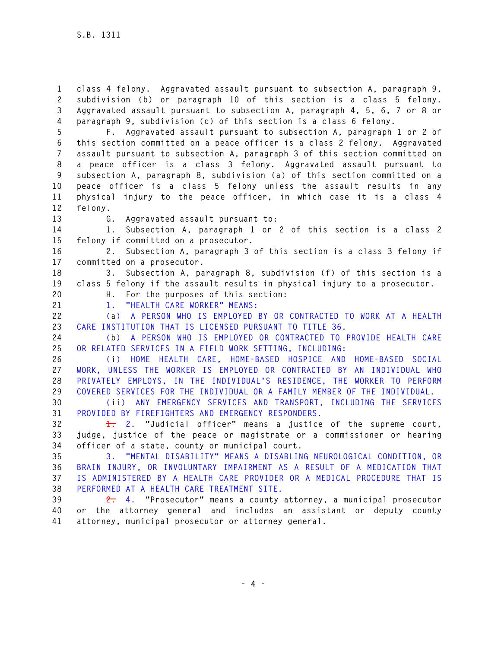**1 class 4 felony. Aggravated assault pursuant to subsection A, paragraph 9, 2 subdivision (b) or paragraph 10 of this section is a class 5 felony. 3 Aggravated assault pursuant to subsection A, paragraph 4, 5, 6, 7 or 8 or 4 paragraph 9, subdivision (c) of this section is a class 6 felony.** 

**5 F. Aggravated assault pursuant to subsection A, paragraph 1 or 2 of 6 this section committed on a peace officer is a class 2 felony. Aggravated 7 assault pursuant to subsection A, paragraph 3 of this section committed on 8 a peace officer is a class 3 felony. Aggravated assault pursuant to 9 subsection A, paragraph 8, subdivision (a) of this section committed on a 10 peace officer is a class 5 felony unless the assault results in any 11 physical injury to the peace officer, in which case it is a class 4 12 felony.** 

**13 G. Aggravated assault pursuant to:** 

**14 1. Subsection A, paragraph 1 or 2 of this section is a class 2 15 felony if committed on a prosecutor.** 

**16 2. Subsection A, paragraph 3 of this section is a class 3 felony if 17 committed on a prosecutor.** 

**18 3. Subsection A, paragraph 8, subdivision (f) of this section is a 19 class 5 felony if the assault results in physical injury to a prosecutor. 20 H. For the purposes of this section:** 

**21 1. "HEALTH CARE WORKER" MEANS:** 

**22 (a) A PERSON WHO IS EMPLOYED BY OR CONTRACTED TO WORK AT A HEALTH 23 CARE INSTITUTION THAT IS LICENSED PURSUANT TO TITLE 36.** 

**24 (b) A PERSON WHO IS EMPLOYED OR CONTRACTED TO PROVIDE HEALTH CARE 25 OR RELATED SERVICES IN A FIELD WORK SETTING, INCLUDING:** 

**26 (i) HOME HEALTH CARE, HOME-BASED HOSPICE AND HOME-BASED SOCIAL 27 WORK, UNLESS THE WORKER IS EMPLOYED OR CONTRACTED BY AN INDIVIDUAL WHO 28 PRIVATELY EMPLOYS, IN THE INDIVIDUAL'S RESIDENCE, THE WORKER TO PERFORM 29 COVERED SERVICES FOR THE INDIVIDUAL OR A FAMILY MEMBER OF THE INDIVIDUAL.** 

**30 (ii) ANY EMERGENCY SERVICES AND TRANSPORT, INCLUDING THE SERVICES 31 PROVIDED BY FIREFIGHTERS AND EMERGENCY RESPONDERS.** 

**32 1. 2. "Judicial officer" means a justice of the supreme court, 33 judge, justice of the peace or magistrate or a commissioner or hearing 34 officer of a state, county or municipal court.** 

**35 3. "MENTAL DISABILITY" MEANS A DISABLING NEUROLOGICAL CONDITION, OR 36 BRAIN INJURY, OR INVOLUNTARY IMPAIRMENT AS A RESULT OF A MEDICATION THAT 37 IS ADMINISTERED BY A HEALTH CARE PROVIDER OR A MEDICAL PROCEDURE THAT IS 38 PERFORMED AT A HEALTH CARE TREATMENT SITE.** 

**39 2. 4. "Prosecutor" means a county attorney, a municipal prosecutor 40 or the attorney general and includes an assistant or deputy county 41 attorney, municipal prosecutor or attorney general.**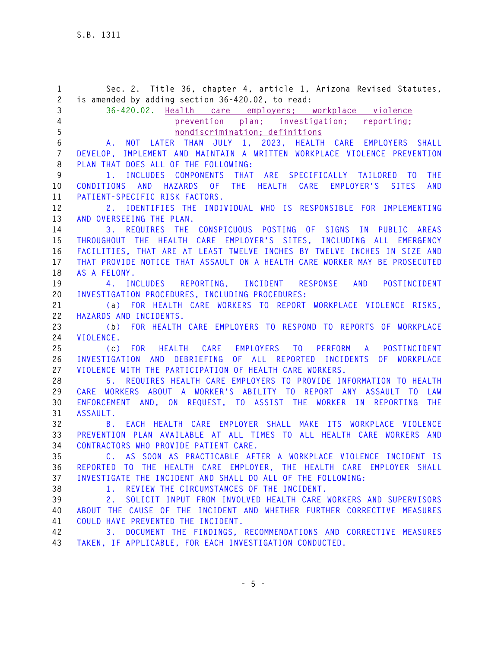**1 Sec. 2. Title 36, chapter 4, article 1, Arizona Revised Statutes, 2 is amended by adding section 36-420.02, to read: 3 36-420.02. Health care employers; workplace violence 4 prevention plan; investigation; reporting; 5 nondiscrimination; definitions 6 A. NOT LATER THAN JULY 1, 2023, HEALTH CARE EMPLOYERS SHALL 7 DEVELOP, IMPLEMENT AND MAINTAIN A WRITTEN WORKPLACE VIOLENCE PREVENTION 8 PLAN THAT DOES ALL OF THE FOLLOWING: 9 1. INCLUDES COMPONENTS THAT ARE SPECIFICALLY TAILORED TO THE 10 CONDITIONS AND HAZARDS OF THE HEALTH CARE EMPLOYER'S SITES AND 11 PATIENT-SPECIFIC RISK FACTORS. 12 2. IDENTIFIES THE INDIVIDUAL WHO IS RESPONSIBLE FOR IMPLEMENTING 13 AND OVERSEEING THE PLAN. 14 3. REQUIRES THE CONSPICUOUS POSTING OF SIGNS IN PUBLIC AREAS 15 THROUGHOUT THE HEALTH CARE EMPLOYER'S SITES, INCLUDING ALL EMERGENCY 16 FACILITIES, THAT ARE AT LEAST TWELVE INCHES BY TWELVE INCHES IN SIZE AND 17 THAT PROVIDE NOTICE THAT ASSAULT ON A HEALTH CARE WORKER MAY BE PROSECUTED 18 AS A FELONY. 19 4. INCLUDES REPORTING, INCIDENT RESPONSE AND POSTINCIDENT 20 INVESTIGATION PROCEDURES, INCLUDING PROCEDURES: 21 (a) FOR HEALTH CARE WORKERS TO REPORT WORKPLACE VIOLENCE RISKS, 22 HAZARDS AND INCIDENTS. 23 (b) FOR HEALTH CARE EMPLOYERS TO RESPOND TO REPORTS OF WORKPLACE 24 VIOLENCE. 25 (c) FOR HEALTH CARE EMPLOYERS TO PERFORM A POSTINCIDENT 26 INVESTIGATION AND DEBRIEFING OF ALL REPORTED INCIDENTS OF WORKPLACE 27 VIOLENCE WITH THE PARTICIPATION OF HEALTH CARE WORKERS. 28 5. REQUIRES HEALTH CARE EMPLOYERS TO PROVIDE INFORMATION TO HEALTH 29 CARE WORKERS ABOUT A WORKER'S ABILITY TO REPORT ANY ASSAULT TO LAW 30 ENFORCEMENT AND, ON REQUEST, TO ASSIST THE WORKER IN REPORTING THE 31 ASSAULT. 32 B. EACH HEALTH CARE EMPLOYER SHALL MAKE ITS WORKPLACE VIOLENCE 33 PREVENTION PLAN AVAILABLE AT ALL TIMES TO ALL HEALTH CARE WORKERS AND 34 CONTRACTORS WHO PROVIDE PATIENT CARE. 35 C. AS SOON AS PRACTICABLE AFTER A WORKPLACE VIOLENCE INCIDENT IS 36 REPORTED TO THE HEALTH CARE EMPLOYER, THE HEALTH CARE EMPLOYER SHALL 37 INVESTIGATE THE INCIDENT AND SHALL DO ALL OF THE FOLLOWING: 38 1. REVIEW THE CIRCUMSTANCES OF THE INCIDENT. 39 2. SOLICIT INPUT FROM INVOLVED HEALTH CARE WORKERS AND SUPERVISORS 40 ABOUT THE CAUSE OF THE INCIDENT AND WHETHER FURTHER CORRECTIVE MEASURES 41 COULD HAVE PREVENTED THE INCIDENT. 42 3. DOCUMENT THE FINDINGS, RECOMMENDATIONS AND CORRECTIVE MEASURES 43 TAKEN, IF APPLICABLE, FOR EACH INVESTIGATION CONDUCTED.**